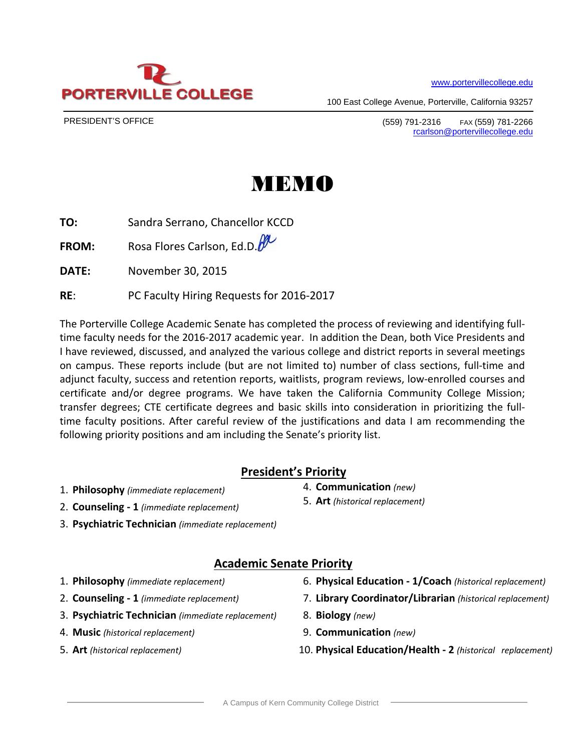www.portervillecollege.edu



PRESIDENT'S OFFICE

**PORTERVII** 

# MEMO

**TO:** Sandra Serrano, Chancellor KCCD

**FROM:** Rosa Flores Carlson, Ed.D.

**DATE:** November 30, 2015

**RE**: PC Faculty Hiring Requests for 2016‐2017

**E COLLEGE** 

The Porterville College Academic Senate has completed the process of reviewing and identifying full‐ time faculty needs for the 2016‐2017 academic year. In addition the Dean, both Vice Presidents and I have reviewed, discussed, and analyzed the various college and district reports in several meetings on campus. These reports include (but are not limited to) number of class sections, full‐time and adjunct faculty, success and retention reports, waitlists, program reviews, low‐enrolled courses and certificate and/or degree programs. We have taken the California Community College Mission; transfer degrees; CTE certificate degrees and basic skills into consideration in prioritizing the full‐ time faculty positions. After careful review of the justifications and data I am recommending the following priority positions and am including the Senate's priority list.

# **President's Priority**

- 1. **Philosophy** *(immediate replacement)*
- 2. **Counseling ‐ 1** *(immediate replacement)*
- 3. **Psychiatric Technician** *(immediate replacement)*

# **Academic Senate Priority**

- 1. **Philosophy** *(immediate replacement)*
- 2. **Counseling ‐ 1** *(immediate replacement)*
- 3. **Psychiatric Technician** *(immediate replacement)*
- 4. **Music** *(historical replacement)*
- 5. **Art** *(historical replacement)*
- 6. **Physical Education ‐ 1/Coach** *(historical replacement)*
- 7. **Library Coordinator/Librarian** *(historical replacement)*
- 8. **Biology** *(new)*
- 9. **Communication** *(new)*

4. **Communication** *(new)* 5. **Art** *(historical replacement)*

10. **Physical Education/Health ‐ 2** *(historical replacement)*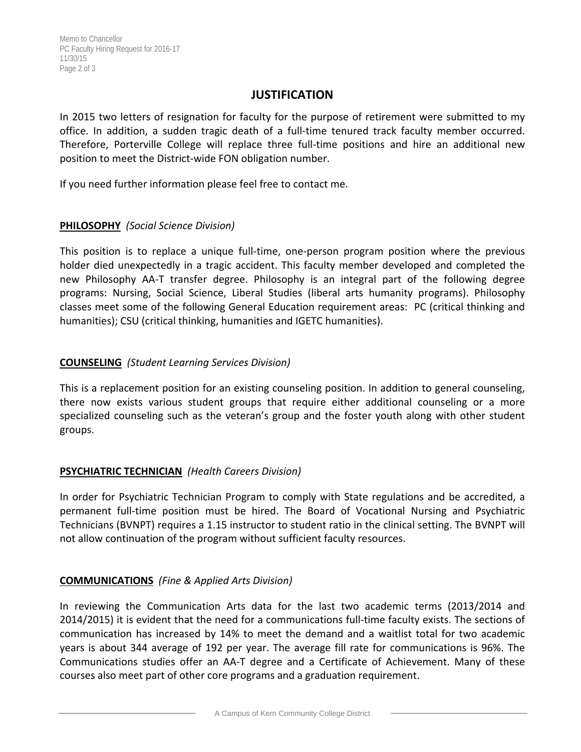#### **JUSTIFICATION**

In 2015 two letters of resignation for faculty for the purpose of retirement were submitted to my office. In addition, a sudden tragic death of a full‐time tenured track faculty member occurred. Therefore, Porterville College will replace three full-time positions and hire an additional new position to meet the District‐wide FON obligation number.

If you need further information please feel free to contact me.

#### **PHILOSOPHY** *(Social Science Division)*

This position is to replace a unique full-time, one-person program position where the previous holder died unexpectedly in a tragic accident. This faculty member developed and completed the new Philosophy AA‐T transfer degree. Philosophy is an integral part of the following degree programs: Nursing, Social Science, Liberal Studies (liberal arts humanity programs). Philosophy classes meet some of the following General Education requirement areas: PC (critical thinking and humanities); CSU (critical thinking, humanities and IGETC humanities).

# **COUNSELING** *(Student Learning Services Division)*

This is a replacement position for an existing counseling position. In addition to general counseling, there now exists various student groups that require either additional counseling or a more specialized counseling such as the veteran's group and the foster youth along with other student groups.

# **PSYCHIATRIC TECHNICIAN** *(Health Careers Division)*

In order for Psychiatric Technician Program to comply with State regulations and be accredited, a permanent full-time position must be hired. The Board of Vocational Nursing and Psychiatric Technicians (BVNPT) requires a 1.15 instructor to student ratio in the clinical setting. The BVNPT will not allow continuation of the program without sufficient faculty resources.

# **COMMUNICATIONS** *(Fine & Applied Arts Division)*

In reviewing the Communication Arts data for the last two academic terms (2013/2014 and 2014/2015) it is evident that the need for a communications full‐time faculty exists. The sections of communication has increased by 14% to meet the demand and a waitlist total for two academic years is about 344 average of 192 per year. The average fill rate for communications is 96%. The Communications studies offer an AA‐T degree and a Certificate of Achievement. Many of these courses also meet part of other core programs and a graduation requirement.